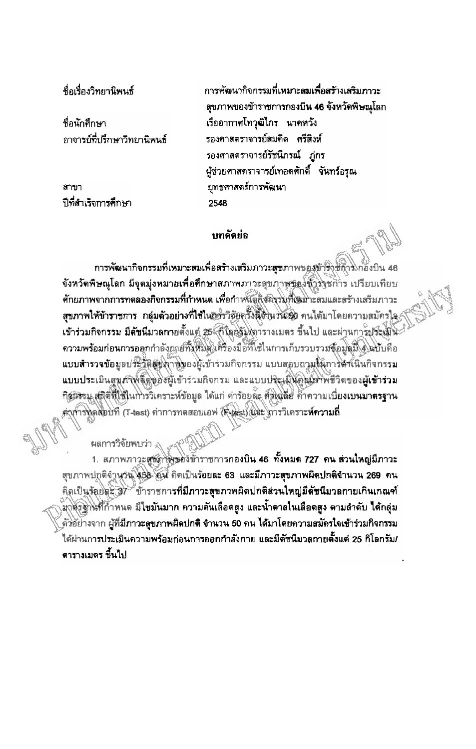ซื้อเรื่องวิทยานิพน<del>ก</del>็

ชื่อนักศึกษา กาจารย์ที่ปรึกษาวิทยานิพนธ์

สาขา ปีที่สำเร็จการศึกษา การพัฒนากิจกรรมที่เหมาะ**ลมเพื่อสร**้างเสริมภาวะ ฐขภาพของข้าราชการกองบิน 46 จังหวัดพิษณุโลก เรืออากาศโทวุฒิไกร นาคหวัง รองศาสตราจารย์สมคิด ศรีสิงห์ รองศาสตราจารย์รัชนีภรณ์ ภ่กร ผู้ช่วยศาสตราจารย์เทอดศักดิ์ จันทร์อรุณ ยุทธศาสตร์การพัฒนา 2548

## บทคัดย่อ

การพัฒนากิจกรรมที่เหมาะสมเพื่อสร้างเสริมภาวะสุขภาพของข้าร\ข้ถาว\ก้องบิน 46 จังหวัดพิษณุโลก มีจุดมุ่งหมวยเพื่อศึกษาสภาพภาวะสุขภาพของขั้วร่าชการ เปรียบเทียบ ์ศักยภาพจากการทดลองกิจกรรมที่กำหนด เพื่อกำหนัดกิจติจรมที่เหมาะสมและสร้างเสริมภาวะ สุขภาพให้ข้าราชการ กลุ่มตัวอย่างที่ใช้ในกรรวิชัยครั้งนี้จึงนวน 50 คนได้มาโดยความสมัครใจ เข้าร่วมกิจกรรม มีดัชนีมวลกายตั้งแต่ 25 กิโลลิรัมโตวรางเมตร ขึ้นไป และผ่านการประเมิน ความพร้อมก่อนการออกกำลังกฤยทั้งหมด เครื่องมือที่ใช้ในการเก็บรวบรวมข้อมูลมื้ 4 คบับคือ แบบสำรวจข้อมูลประวัติสูงพานิของผู้เข้าร่วมกิจกรรม แบบสอบถามให้การคำเนินกิจกรรม แบบประเมินสมภังพ์ตัดต่องผู้เข้าร่วมกิจกรม และแบบประเมินคนเมาพัชวิตของผู้เข้าร่วม กิชมีจรม สติติที่ใช้ในการวิเคราะห์ข้อมูล ได้แก่ ค่าร้อยล๊ะ คั่วใจล้ย ค้าความเบี่ยงเบนมาตรฐาน ค่าศารทิตสอบที่ (T-test) คำการทดสอบเอฟ (K-test) และ โการวิเคราะห์ความถึ

ผลการวิจัยพบว่า

1. สภาพภาวะสุขภาพของข้าราชการกองบิน 46 ทั้งหมด 727 คน ส่วนใหญ่มีภาวะ สุขภาพปกติจำนวน 458 สิน คิดเป็นร้อยละ 63 และมีภาวะสุขภาพผิดปกติจำนวน 269 คน ้คิดเป็นรักษิต 37 ข้าราชการที่มีภาวะสุขภาพผิดปกติส่วนใหญ่มี**ดัชนี**มวลกายเกินเกณฑ์ ้มาตัวฐานที่ก้าหนด มีใขมันมาก ความตันเลือดสูง และน้ำตาลในเลือดสูง ตามลำดับ ใต้กลุ่ม ู้ตัวอย่างจาก ผู้ที่มีภาวะสุขภาพผิดปกติ จำนวน 50 คน ได้มาโดยความสมัครใจเข้าร่วมกิจกรรม ได้ผ่านการประเมินความพร้อมก่อนการออกกำลังกาย และมีดัชนีมวลกายตั้งแต่ 25 กิโลกรัม/ ตารางเมดร ขึ้นไป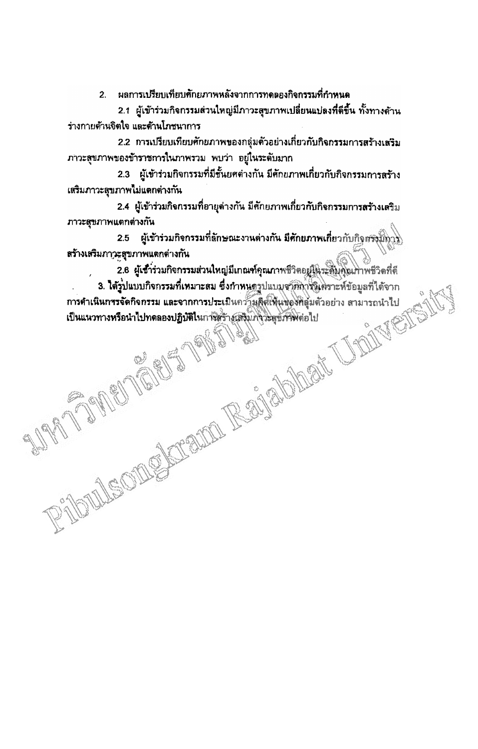้ ผลการเปรียบเทียบศักยภาพหลังจากการทดดองกิจกรรมที่กำหนด  $2<sup>1</sup>$ 

2.1 ผู้เข้าร่วมกิจกรรมส่วนใหญ่มีภาวะสุขภาพเปลี่ยนแปลงที่ดีขึ้น ทั้งทางด้าน ร่างกายด้านจิตใจ และด้านโภชนาการ

2.2 การเปรียบเทียบศักยภาพของกลุ่มด้วอย่างเกี่ยวกับกิจกรรมการสร้างเสริม ภาวะสุขภาพของข้าราชการในภาพรวม พบว่า อยู่ในระดับมาก

2.3 ผู้เข้าร่วมกิจกรรมที่มีชั้นยศต่างกัน มีศักยภาพเกี่ยวกับกิจกรรมการสร้าง เสริมภาวะสุขภาพไม่แตกต่างกัน

2.4 ผู้เข้าร่วมกิจกรรมที่อายุต่างกัน มีศักยภาพเกี่ยวกับกิจกรรมการสร้างเสริม ภาวะสุขภาพแตกต่างกัน

2.5 ผู้เข้าร่วมกิจกรรมที่ลักษณะงานต่างกัน มีศักยภาพเกี่ยวกับกิจสรัฐมีการ สร้างเสริมภาวะสุขภาพแตกต่างกัน

2.6 ผู้เช้าร่วมกิจกรรมส่วนใหญ่มีเกณฑ์คุณภาพชีวิตอยู่ในระดับคุณภาพชีวิตที่ดี PHOULSOMENTIAL REGIONER UNIVERSITY 3. ได้รูปแบบกิจกรรมที่เหมาะสม ซึ่งกำหนดรูปแบบจากกำจังเคราะห์ข้อมูลที่ได้จาก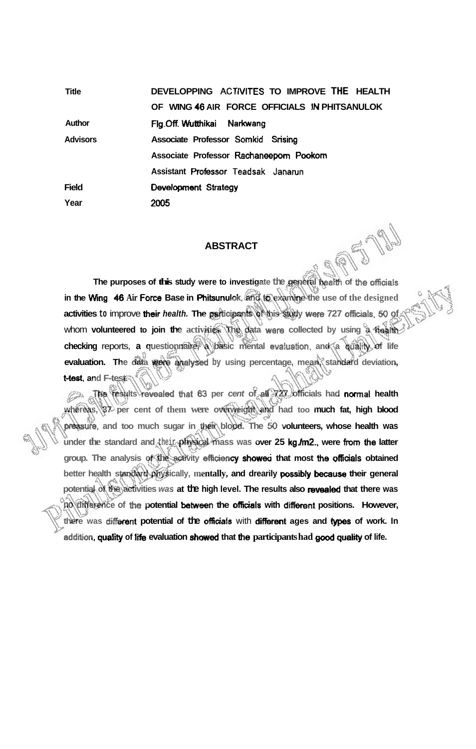**Title Author Advisors Field Year DEVELOPPING ACT IVlTES TO IMPROVE THE HEALTH OF WING 46 AIR FORCE OFFICIALS 1N PHITSANULOK Flg.Off. Wutthikai Narkwang Associate Professor Somkid Srising Associate Professor Rachaneeporn Pookorn Assistant Prafessor Teadsak Janarun Oevelapment Sirategy 2005** 

## **ABSTRACT**

**The purposes of this study were to investigate the general batth of the officials in the Wing 46 Air Force Base in Phitsunulok, and <b>to examine the use of the designed activities to** improve **their health. The parbicipants of this study were 727 oflicials. 50 of**  whom **volunteered to join the** activities. The data were collected by using a health **checking** reports, **a questionnaire, a basic mental evaluation, and a qualrty of life evaluation.** The data were analysed by using percentage, mean, standard deviation, **t-test, and F-test.** 

**The results rewaled ttrat 63 per cent of all 727 officials had normal health**  EA **whereas, 37 per cent of them were overweight and had too much fat, high blood pssure, and too much sugar in their blood. The 60 volunteers, whose health was**  under the standard and their physical mass was over 25 kg m2. were from the latter group. The analysis of the activity efficiency showed that most the officials obtained **better health standard physically, mentally, and drearily possibly because their general**  potential of the activities was at the high level. The results also revealed that there was no difference of the potential between the officials with different positions. However, there was different potential of the officials with different ages and types of work. In **addin, quality of lik evaluation showed that he participants had good quality of life.**